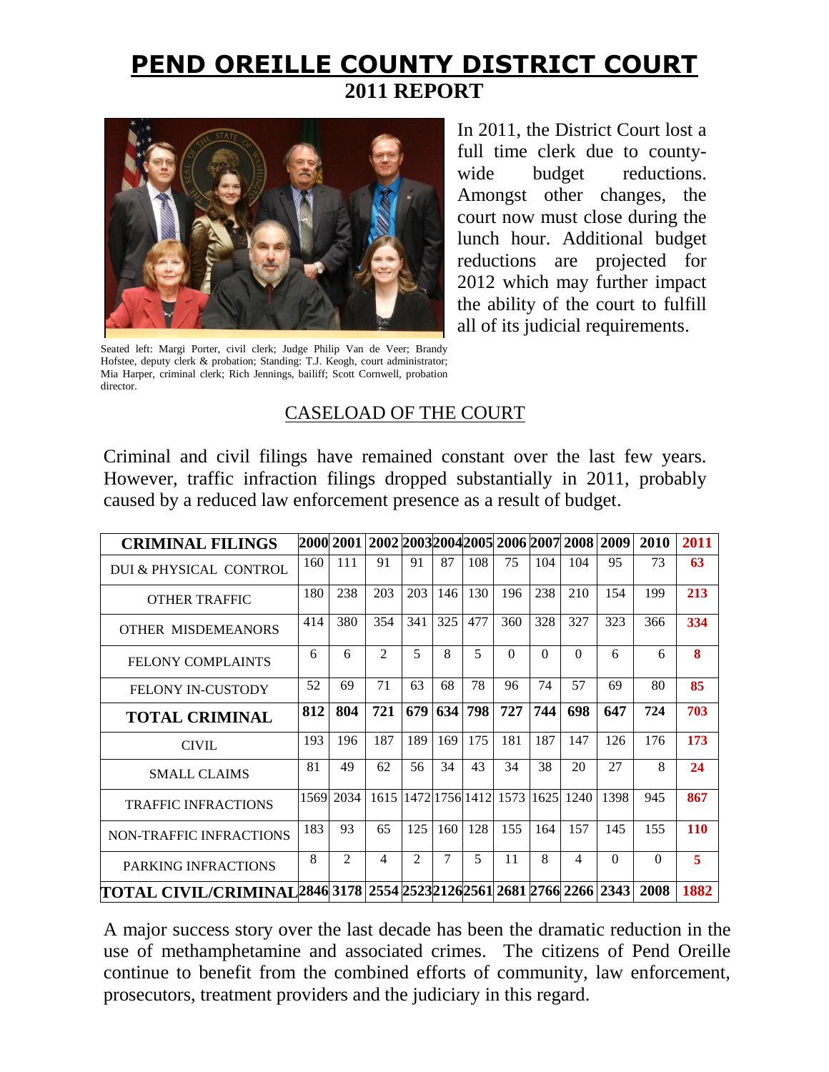## **PEND OREILLE COUNTY DISTRICT COURT 2011 REPORT**



Seated left: Margi Porter, civil clerk; Judge Philip Van de Veer; Brandy Hofstee, deputy clerk & probation; Standing: T.J. Keogh, court administrator; Mia Harper, criminal clerk; Rich Jennings, bailiff; Scott Cornwell, probation director.

In 2011, the District Court lost a full time clerk due to countywide budget reductions. Amongst other changes, the court now must close during the lunch hour. Additional budget reductions are projected for 2012 which may further impact the ability of the court to fulfill all of its judicial requirements.

## CASELOAD OF THE COURT

Criminal and civil filings have remained constant over the last few years. However, traffic infraction filings dropped substantially in 2011, probably caused by a reduced law enforcement presence as a result of budget.

| <b>CRIMINAL FILINGS</b>                                                           |     | 2000 2001      |                |                |     |                          |          |          | 2002 2003 2004 2005 2006 2007 2008 2009 |          | 2010     | 2011           |
|-----------------------------------------------------------------------------------|-----|----------------|----------------|----------------|-----|--------------------------|----------|----------|-----------------------------------------|----------|----------|----------------|
| DUI & PHYSICAL CONTROL                                                            | 160 | 111            | 91             | 91             | 87  | 108                      | 75       | 104      | 104                                     | 95       | 73       | 63             |
| <b>OTHER TRAFFIC</b>                                                              | 180 | 238            | 203            | 203            | 146 | 130                      | 196      | 238      | 210                                     | 154      | 199      | 213            |
| <b>OTHER MISDEMEANORS</b>                                                         | 414 | 380            | 354            | 341            | 325 | 477                      | 360      | 328      | 327                                     | 323      | 366      | 334            |
| <b>FELONY COMPLAINTS</b>                                                          | 6   | 6              | $\overline{2}$ | 5              | 8   | 5                        | $\Omega$ | $\Omega$ | $\Omega$                                | 6        | 6        | 8              |
| <b>FELONY IN-CUSTODY</b>                                                          | 52  | 69             | 71             | 63             | 68  | 78                       | 96       | 74       | 57                                      | 69       | 80       | 85             |
| <b>TOTAL CRIMINAL</b>                                                             | 812 | 804            | 721            | 679            | 634 | 798                      | 727      | 744      | 698                                     | 647      | 724      | 703            |
| <b>CIVIL</b>                                                                      | 193 | 196            | 187            | 189            | 169 | 175                      | 181      | 187      | 147                                     | 126      | 176      | 173            |
| <b>SMALL CLAIMS</b>                                                               | 81  | 49             | 62             | 56             | 34  | 43                       | 34       | 38       | 20                                      | 27       | 8        | 24             |
| <b>TRAFFIC INFRACTIONS</b>                                                        |     | 1569 2034      | 1615           |                |     | 1472 1756 1412           | 1573     | 1625     | 1240                                    | 1398     | 945      | 867            |
| <b>NON-TRAFFIC INFRACTIONS</b>                                                    | 183 | 93             | 65             | 125            | 160 | 128                      | 155      | 164      | 157                                     | 145      | 155      | <b>110</b>     |
| PARKING INFRACTIONS                                                               | 8   | $\mathfrak{D}$ | 4              | $\overline{2}$ | 7   | $\overline{\mathcal{L}}$ | 11       | 8        | $\overline{\mathcal{A}}$                | $\Omega$ | $\Omega$ | $\overline{5}$ |
| [TOTAL CIVIL/CRIMINAL 2846  3178   2554  2523 2126 2561   2681  2766  2266   2343 |     |                |                |                |     |                          |          |          |                                         |          | 2008     | 1882           |

A major success story over the last decade has been the dramatic reduction in the use of methamphetamine and associated crimes. The citizens of Pend Oreille continue to benefit from the combined efforts of community, law enforcement, prosecutors, treatment providers and the judiciary in this regard.